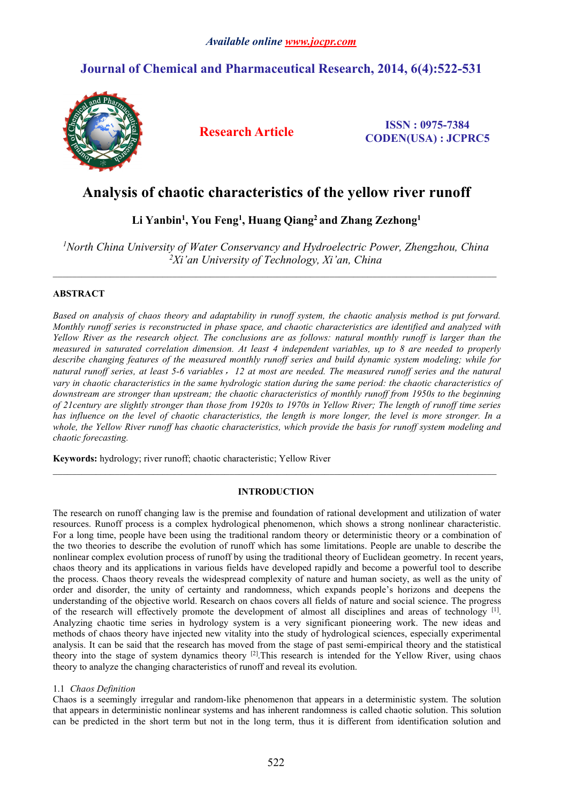## **Journal of Chemical and Pharmaceutical Research, 2014, 6(4):522-531**



**Research Article ISSN : 0975-7384 CODEN(USA) : JCPRC5**

# Analysis of chaotic characteristics of the yellow river runoff

## **Li Yanbin<sup>1</sup> , You Feng<sup>1</sup> , Huang Qiang<sup>2</sup> and Zhang Zezhong<sup>1</sup>**

*<sup>1</sup>North China University of Water Conservancy and Hydroelectric Power, Zhengzhou, China <sup>2</sup>Xi'an University of Technology, Xi'an, China*

## **ABSTRACT**

Based on analysis of chaos theory and adaptability in runoff system, the chaotic analysis method is put forward. Monthly runoff series is reconstructed in phase space, and chaotic characteristics are identified and analyzed with Yellow River as the research object. The conclusions are as follows: natural monthly runoff is larger than the measured in saturated correlation dimension. At least 4 independent variables, up to 8 are needed to properly *describe changing features of the measured monthly runoff series and build dynamic system modeling; while for* natural runoff series, at least 5-6 variables, 12 at most are needed. The measured runoff series and the natural vary in chaotic characteristics in the same hydrologic station during the same period: the chaotic characteristics of *downstream are stronger than upstream; the chaotic characteristics of monthly runoff from 1950s to the beginning* of 21 century are slightly stronger than those from 1920s to 1970s in Yellow River; The length of runoff time series has influence on the level of chaotic characteristics, the length is more longer, the level is more stronger. In a whole, the Yellow River runoff has chaotic characteristics, which provide the basis for runoff system modeling and *chaotic forecasting.*

**Keywords:** hydrology; river runoff; chaotic characteristic; Yellow River

## **INTRODUCTION**

 $\mathcal{L}_\mathcal{L} = \mathcal{L}_\mathcal{L}$ 

The research on runoff changing law is the premise and foundation of rational development and utilization of water resources. Runoff process is a complex hydrological phenomenon, which shows a strong nonlinear characteristic. For a long time, people have been using the traditional random theory or deterministic theory or a combination of the two theories to describe the evolution of runoff which has some limitations. People are unable to describe the nonlinear complex evolution process of runoff by using the traditional theory of Euclidean geometry. In recent years, chaos theory and its applications in various fields have developed rapidly and become a powerful tool to describe the process.Chaos theory reveals the widespread complexity of nature and human society, as well as the unity of order and disorder, the unity of certainty and randomness, which expands people's horizons and deepens the understanding of the objective world. Research on chaos covers all fields of nature and social science. The progress of the research will effectively promote the development of almost all disciplines and areas of technology [1]. Analyzing chaotic time series in hydrology system is a very significant pioneering work. The new ideas and methods of chaos theory have injected new vitality into the study of hydrological sciences, especially experimental analysis. It can be said that the research has moved from the stage of past semi-empirical theory and the statistical theory into the stage of system dynamics theory [2].This research is intended for the Yellow River, using chaos theory to analyze the changing characteristics of runoff and reveal its evolution.

## 1.1 *Chaos Definition*

Chaos is a seemingly irregular and random-like phenomenon that appears in a deterministic system. The solution that appears in deterministic nonlinear systems and has inherent randomness is called chaotic solution. This solution can be predicted in the short term but not in the long term, thus it is different from identification solution and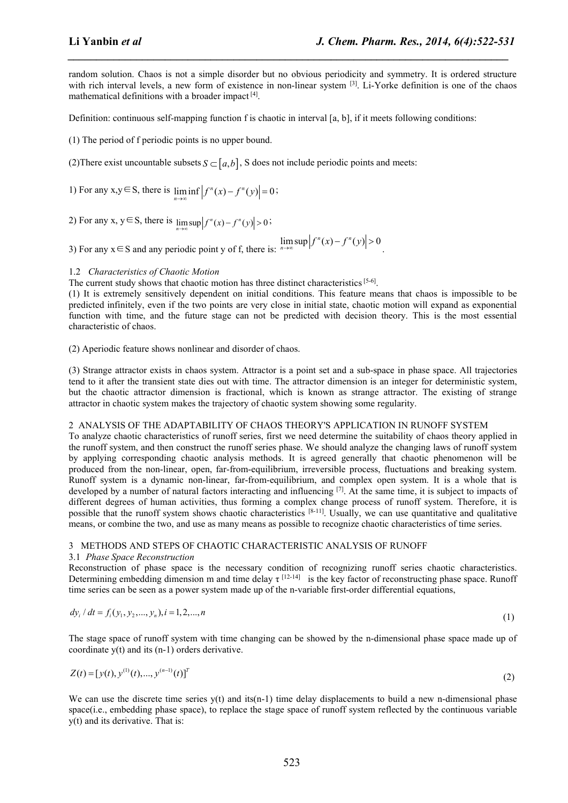.

random solution. Chaos is not a simple disorder but no obvious periodicity and symmetry. It is ordered structure with rich interval levels, a new form of existence in non-linear system  $^{[3]}$ . Li-Yorke definition is one of the chaos mathematical definitions with a broader impact [4]. **Li Yanbin** *et al*<br> **Li Yanbin** *et al***<br>
random solution. Chaos is not a simple disorder but no obvious periodicity and symmetry. It is ordered structure<br>
muth rich interval levels, a new form of existence in non-linear s 1. Chem. Pharm. Res., 2014, 6(4):522-531**<br> **1. Chem. Pharm. Res., 2014, 6(4):522-531**<br> **random solution.** Chaos is not a simple disorder but no obvious periodicity and symmetry. It is ordered structure<br>
with rich interv *J. Chem. Pharm. Res., 2014, 6(4):522-531*<br>
not a simple disorder but no obvious periodicity and symmetry. It is ordered structure<br>
new form of existence in non-linear system <sup>[3]</sup>. Li-Yorke definition is one of the chaos **Li Yanbin et al**<br>
2) *L. Chem. Pharm. Res., 2014, 6(4):522-531***<br>
Frandom solution. Chaos is not a simple disorder but no obvious periodicity and symmetry. It is ordered structure<br>
with rich interval levels, a new form** *<i>f <i><i>f <i>f <i>f f <i>f <i>f <i>f <i>f <i>f <i>f <i>f <i>f <i>f <i>f <i>f <i>f <i>f <i>f <i>f <i>f <i>f <i>f <i>f <i>f <i>f*</del> *<i>f*</del> *<i><i>f <i>f <i>f* **1. Van bin** *et al*<br>
3) *Chem. Pharm. Res., 2014, 6(4):522-531***<br>
Frandom solution. Chaos is not a simple disorder but no obvious periodicity and symmetry. It is ordered structure<br>
with the interval levels, a new form o** *J. Chem. Pharm. Res., 2014, 6(4):522-531*<br>
o obvious periodicity and symmetry. It is ordered structure<br>
on-linear system <sup>[3]</sup>. Li-Yorke definition is one of the chaos<br>
in interval [a, b], if it meets following condition

*\_\_\_\_\_\_\_\_\_\_\_\_\_\_\_\_\_\_\_\_\_\_\_\_\_\_\_\_\_\_\_\_\_\_\_\_\_\_\_\_\_\_\_\_\_\_\_\_\_\_\_\_\_\_\_\_\_\_\_\_\_\_\_\_\_\_\_\_\_\_\_\_\_\_\_\_\_*

Definition: continuous self-mapping function f is chaotic in interval [a, b], if it meets following conditions:

(1) The period of f periodic points is no upper bound.

1) For any  $x, y \in S$ , there is  $\liminf |f^{n}(x) - f^{n}(y)| = 0$ ;

 $n \rightarrow \infty$  **i**  $|v \rightarrow \infty$  **v**  $|v \rightarrow \infty$ 

 $n \rightarrow \infty$ 

### 1.2 *Characteristics of Chaotic Motion*

The current study shows that chaotic motion has three distinct characteristics  $[5-6]$ .

(1) It is extremely sensitively dependent on initial conditions. This feature means that chaos is impossible to be predicted infinitely, even if the two points are very close in initial state, chaotic motion will expand as exponential function with time, and the future stage can not be predicted with decision theory. This is the most essential characteristic of chaos.

(2) Aperiodic feature shows nonlinear and disorder of chaos.

(3) Strange attractor exists in chaos system. Attractor is a point set and a sub-space in phase space. All trajectories tend to it after the transient state dies out with time. The attractor dimension is an integer for deterministic system, but the chaotic attractor dimension is fractional, which is known as strange attractor. The existing of strange attractor in chaotic system makes the trajectory of chaotic system showing some regularity.

#### 2 ANALYSIS OF THE ADAPTABILITY OF CHAOS THEORY'S APPLICATION IN RUNOFF SYSTEM

To analyze chaotic characteristics of runoff series, first we need determine the suitability of chaos theory applied in the runoff system, and then construct the runoff series phase. We should analyze the changing lawsof runoff system by applying corresponding chaotic analysis methods. It is agreed generally that chaotic phenomenon will be produced from the non-linear, open, far-from-equilibrium, irreversible process, fluctuations and breaking system. Runoff system is a dynamic non-linear, far-from-equilibrium, and complex open system. It is a whole that is developed by a number of natural factors interacting and influencing  $[7]$ . At the same time, it is subject to impacts of different degrees of human activities, thus forming a complex change process of runoff system. Therefore, it is possible that the runoff system shows chaotic characteristics [8-11]. Usually, we can use quantitative and qualitative means, or combine the two, and use as many means as possible to recognize chaotic characteristics oftime series. nincipalwith thus, and the tuture stage can not ob predicted with decision theory. This is the most essential<br>
(2) Aperiodic feature slows nonlinear and disorder of chaos.<br>
(3) Aperiodic feature slows nonlinear and disor control to a late that the control the transfer sake the solution of the state of uncertainties (system) and its (n-1) orders derivative system shown is a staringe to to existing of strange that the halo existence in the

#### 3 METHODS AND STEPSOF CHAOTIC CHARACTERISTIC ANALYSIS OF RUNOFF

#### 3.1 *Phase Space Reconstruction*

Reconstruction of phase space is the necessary condition of recognizing runoff series chaotic characteristics. Determining embedding dimension m and time delay  $\tau$  [12-14] is the key factor of reconstructing phase space. Runoff

$$
dy_i/dt = f_i(y_1, y_2, \dots, y_n), i = 1, 2, \dots, n
$$
\n(1)

The stage space of runoff system with time changing can be showed by the n-dimensional phase space made up of

$$
Z(t) = [y(t), y^{(1)}(t), ..., y^{(n-1)}(t)]^T
$$
\n(2)

We can use the discrete time series  $y(t)$  and its(n-1) time delay displacements to build a new n-dimensional phase space(i.e., embedding phase space), to replace the stage space of runoff system reflected by the continuous variable y(t) and its derivative. That is: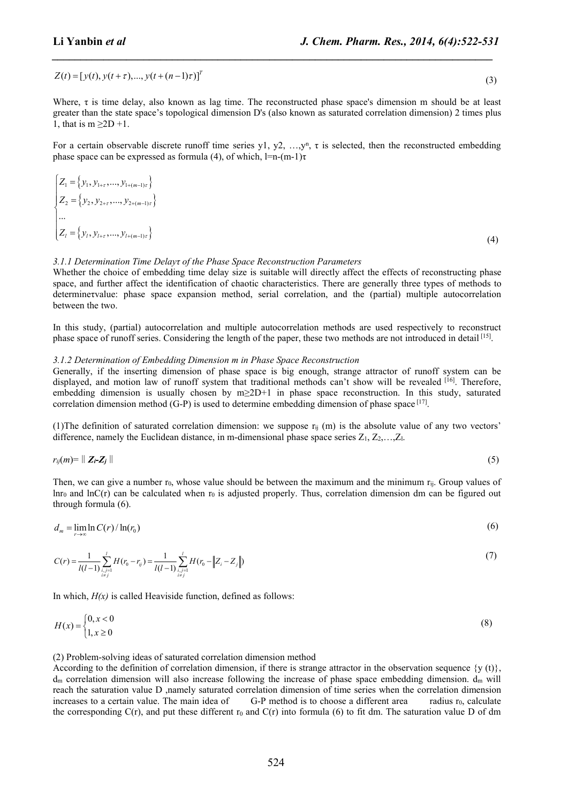Li **Yanbin** *et al*<br>  $J. Chem. Pharm. Res., 2014, 6(4):522-531$ <br>  $Z(t) = [y(t), y(t + \tau),..., y(t + (n-1)\tau)]^T$  (3)<br>
Where,  $\tau$  is time delay, also known as lag time. The reconstructed phase space's dimension m should be at least<br>
greater than the st Where, τ is time delay, also known as lag time. The reconstructed phase space's dimension m should be at least greater than the state space's topological dimension D's (also known as saturated correlation dimension) 2 times plus 1, that is  $m \geq 2D + 1$ .

*\_\_\_\_\_\_\_\_\_\_\_\_\_\_\_\_\_\_\_\_\_\_\_\_\_\_\_\_\_\_\_\_\_\_\_\_\_\_\_\_\_\_\_\_\_\_\_\_\_\_\_\_\_\_\_\_\_\_\_\_\_\_\_\_\_\_\_\_\_\_\_\_\_\_\_\_\_*

For a certain observable discrete runoff time series y1,  $y^2$ , …,y<sup>n</sup>,  $\tau$  is selected, then the reconstructed embedding phase space can be expressed as formula (4), of which,  $l=n-(m-1)\tau$ 

**L. i Yanbin *et al***\n**J. Chem. Pharm. Res., 2014, 6(4):522-531**\n  
\nZ(t) = [y(t), y(t + 
$$
\tau
$$
),..., y(t + ( $\pi$ -1) $\tau$ )]<sup>7</sup>\n  
\n(3)  
\nWhere,  $\tau$  is time delay, also known as lag time. The reconstructed phase space's dimension m should be at least  
\ngreatest than the state space's topological dimension D's (also known as saturated correlation dimension) 2 times plus  
\n, that is m 22D + 1, (3)  
\nFor a certain observable discrete runoff time series  $y1, y2, ..., y^n$ ,  $\tau$  is selected, then the reconstructed embedding  
\nphase space can be expressed as formula (4), of which, 1=n-(m-1) $\tau$   
\n
$$
Z_1 = \{y_1, y_1, ..., y_{1/n+1}, y_{1/n+1/n}
$$
\n
$$
Z_2 = \{y_1, y_2, ..., y_{21/n+2/n}\}
$$
\n(4)  
\n2.  $\frac{1}{2} \{y_2, y_3, ..., y_{21/n+2/n}\}$ \n
$$
Z_3 = \{y_1, y_2, ..., y_{21/n+2/n}\}
$$
\n(5)  
\n3.1.1 Determine the block of the following time. *Q* takes space. *Reconstruction–P* are generally three types of methods to  
\ntheorem in the block of the identification of chaotic characteristics. There are generally the types of methods to  
\nbetween the two.  
\nIn this study, (partial) autocorrelation and multiple autocorrelation methods are used respectively to reconstruct  
\nthe same space of runoff series. Considering the length of the paper, these two methods are not introduced in detail<sup>123</sup>.  
\n3.1.1 Determine the probability *D* measure *R H in the system* that radiation and  
\nbetween the two.  
\nIn this study, (partial) and motion law of random *in P in the system* that radius of the paper, these two methods are not introduced in detail<sup>123</sup>.  
\nHence, and which is usually chosen by m 22D+1 in phase space. *Reconstruction*. In this study, statistical  
\ncontribution of the structure of the system that transition methods are used respectively. In this study, and  
\nthe time, we can give a number  $\tau_0$ , whose value should be between the maximum and the minimum  $\tau_0$ . Group values of  
\nthrough formula (6).  
\n

#### *3.1.1 Determination Time Delayτ of the Phase Space Reconstruction Parameters*

Whether the choice of embedding time delay size is suitable will directly affect the effects of reconstructing phase space, and further affect the identification of chaotic characteristics. There are generally three types of methods to determineτvalue: phase space expansion method, serial correlation, and the (partial) multiple autocorrelation between the two. (4)<br> *Let Determination Time Delayr of the Phase Space Reconstruction Parameters*<br> *L. Determination Time Delayr of the Phase Space Reconstruction Parameters*<br> *Let the the choice of embedding time delay size is suitable <sup>r</sup> d C r r* (6) 0 0 The<br>line the choice of embedding time delay size is suitable will directly affect the reduce of<br>each direct of the choice of embedding time delay size is suitable will direct<br>offer the denotestinction of choice characteri the the choice of embedding time delay size is suitable will directly affect the effects of reconstructing phase<br>and factor of embedding time delay size is suitable will directly affect the effects of reconstructing<br>that

In this study,(partial) autocorrelation and multiple autocorrelation methods are used respectively to reconstruct phase space of runoff series. Considering the length of the paper, these two methods are not introduced in detail [15].

#### *3.1.2 Determination of Embedding Dimension m in Phase Space Reconstruction*

Generally, if the inserting dimension of phase space is big enough, strange attractor of runoff system can be displayed, and motion law of runoff system that traditional methods can't show will be revealed [16]. Therefore, embedding dimension is usually chosen by m≥2D+1 in phase space reconstruction. In this study, saturated correlation dimension method (G-P) is used to determine embedding dimension of phase space  $[17]$ . and further affect the identification of chaotic characteristics. There are generally three types of mehods to<br>nervalue: phase space expansion method, serial correlation, and the (partial) multiple autocorrelation<br>the two Whene the choice of embedding time delay is as is suitable will directly affect the choice of reconstructing phase<br>pace, and further affect the chemicination of chance characteristics. There are generally three spees of m and further affect the identification of chaotic characteristics. There are generally three types of methods to<br>inervalue: phase space expansion method, serial correlation, and the (partial) multiple autocorrelation<br>the t and a anomorrow that of the plane and other<br>anomic anomy (paramelation and interest considering the length of the paper, these two methods are not introduced in determination of Embedding Dimension in it Phase Space Recon bhase space of runoff series. Considering the length of the paper, these two methods are not introdu<br> *x h x Determination of Embedding Dimension* in *in Phace Space Recordstruction*<br> *x Line timesculary and mot* 

(1)The definition of saturated correlation dimension: we suppose  $r_{ii}$  (m) is the absolute value of any two vectors' difference, namely the Euclidean distance, in m-dimensional phase space series  $Z_1, Z_2, \ldots, Z_k$ .

$$
r_{ij}(m) = || \mathbf{Z}_i \mathbf{Z}_j || \tag{5}
$$

Then, we can give a number  $r_0$ , whose value should be between the maximum and the minimum  $r_{ii}$ . Group values of  $lnr_0$  and  $lnC(r)$  can be calculated when  $r_0$  is adjusted properly. Thus, correlation dimension dm can be figured out through formula (6). imension is usually chosen by  $m \ge 2D+1$  in phase space reconstructio<br>mension method (G-P) is used to determine embedding dimension of phase<br>tion of saturated correlation dimension: we suppose  $r_{ij}$  (m) is the absolute<br>m method (G-P) is used to determine embedding dimension of phase space <sup>[17]</sup>.<br> *i*j aturated correlation dimension: we suppose  $r_{ij}$  (m) is the absolute value of any<br> *Euclidean distance*, in m-dimensional phase space ser imension method (G-P) is used to determine embedding dimension of phase<br>*i*tion of saturated correlation dimension: we suppose  $r_{ij}$  (m) is the absolut<br>amely the Euclidean distance, in m-dimensional phase space series  $Z$ 

$$
d_m = \lim_{n \to \infty} \ln C(r) / \ln(r_0)
$$
\n<sup>(6)</sup>

$$
C(r) = \frac{1}{l(l-1)} \sum_{\substack{i,j=1 \ i \neq j}}^{l} H(r_0 - r_{ij}) = \frac{1}{l(l-1)} \sum_{\substack{i,j=1 \ i \neq j}}^{l} H(r_0 - ||Z_i - Z_j||) \tag{7}
$$

In which,  $H(x)$  is called Heaviside function, defined as follows:

$$
H(x) = \begin{cases} 0, x < 0 \\ 1, x \ge 0 \end{cases}
$$
 (8)

(2) Problem-solving ideas of saturated correlation dimension method

ass space of runoff series. Considering the length of the paper, these two methods are not introduced in deta<br>  $(2, 2)$  *betermination* of *l'mhelding Dimension m in Phace Space Recomstruction*<br>  $\ln(2, 2)$  *betwerming dim* According to the definition of correlation dimension, if there is strange attractor in the observation sequence  $\{y(t)\}\$ ,  $d<sub>m</sub>$  correlation dimension will also increase following the increase of phase space embedding dimension.  $d<sub>m</sub>$  will reach the saturation value D ,namely saturated correlation dimension of time series when the correlation dimension increases to a certain value. The main idea of G-P method is to choose a different area radius  $r_0$ , calculate the corresponding  $C(r)$ , and put these different  $r_0$  and  $C(r)$  into formula (6) to fit dm. The saturation value D of dm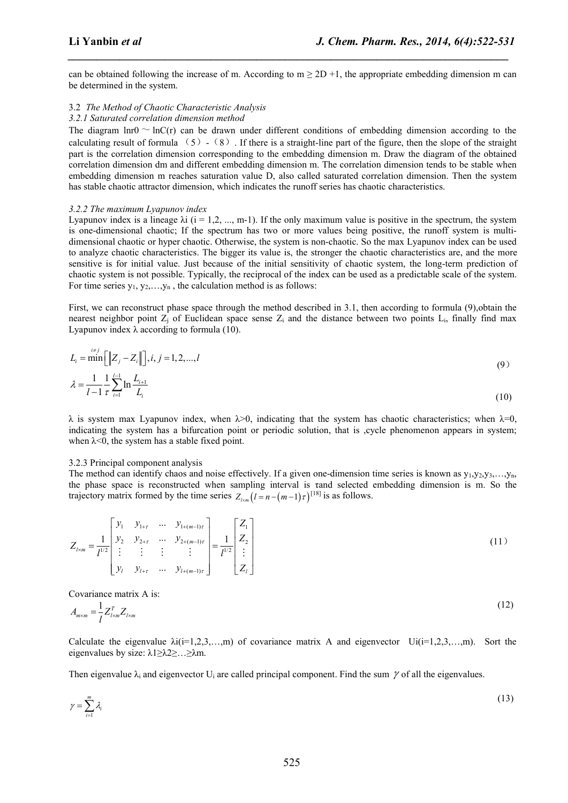can be obtained following the increase of m. According to  $m \ge 2D +1$ , the appropriate embedding dimension m can be determined in the system.

*\_\_\_\_\_\_\_\_\_\_\_\_\_\_\_\_\_\_\_\_\_\_\_\_\_\_\_\_\_\_\_\_\_\_\_\_\_\_\_\_\_\_\_\_\_\_\_\_\_\_\_\_\_\_\_\_\_\_\_\_\_\_\_\_\_\_\_\_\_\_\_\_\_\_\_\_\_*

#### 3.2 *The Method of Chaotic Characteristic Analysis*

#### *3.2.1 Saturated correlation dimension method*

The diagram lnr0  $\sim$  lnC(r) can be drawn under different conditions of embedding dimension according to the calculating result of formula  $(5) - (8)$ . If there is a straight-line part of the figure, then the slope of the straight part is the correlation dimension corresponding to the embedding dimension m. Draw the diagram of the obtained correlation dimension dm and different embedding dimension m. The correlation dimension tends to be stable when embedding dimension m reaches saturation value D, also called saturated correlation dimension. Then the system has stable chaotic attractor dimension, which indicates the runoff series has chaotic characteristics.

#### *3.2.2 The maximum Lyapunov index*

Lyapunov index is a lineage  $\lambda i$  ( $i = 1, 2, ..., m-1$ ). If the only maximum value is positive in the spectrum, the system is one-dimensional chaotic; If the spectrum has two or more values being positive, the runoff system is multidimensional chaotic or hyper chaotic. Otherwise, the system is non-chaotic. So the max Lyapunov index can be used to analyze chaotic characteristics. The bigger its value is, the stronger the chaotic characteristics are, and the more sensitive is for initial value. Just because of the initial sensitivity of chaotic system, the long-term prediction of chaotic system is not possible. Typically, the reciprocal of the index can be used as a predictable scale of the system. For time series  $y_1, y_2, \ldots, y_n$ , the calculation method is as follows: e obtained following the increase of m. According to  $m \ge 2D + 1$ , the appropriate embedding dimension m can<br>the Method of Chaotic Characteristic Analysis<br>Saturated correlation dimension method<br>Saturated correlation dimens able chaotic attractor dimension, which indicates the runc<br> *The maximum Lyapunov index*<br>
invov index is a lineage  $\lambda i$  ( $i = 1, 2, ..., m-1$ ). If the only m<br>
a-dimensional chaotic; If the spectrum has two or mor-<br>
sional chao can be obtained following the increase of m. According to  $m \ge 2D + 1$ , the appropriate embedding dimension m can<br>  $\alpha$  2.2.1 *E Method of Characteristic Analysis*<br>  $\alpha$  2.7 *E Method of Characteristic Analysis*<br>  $\alpha$  2.7 Emmed and of Synanic Characteristic Analysis<br>
En Method of Characteristic Analysis<br>
The Method of Characteristic Analysis<br>
Entantated correlation dimension method<br>
islament hold  $\sim$  heC(c) can be drawn under different co *like Method of Chaotic Characteristics Analysis<br>
<i>like Method of Chaotic Characteristics Analysis*<br> *listanzated correlation dimension method*<br>
diagram  $\ln 0 \sim |\alpha|$  (c) can be drawn under different conditions of embedding 3.2. The matrix multiplary index (in the production in the series  $\lambda$  can be the time series  $\lambda$  can according the time series  $\lambda$  is  $\lambda$  is  $\lambda$  is  $\lambda$  is  $\lambda$  is  $\lambda$  is  $\lambda$  is  $\lambda$  is  $\lambda$  is  $\lambda$  is  $\lambda$  is  $\lambda$ e-dimensional chaotic p if the spectrum has two or more values being positive, the month system is multi-<br>existable chaotic charge that such the system is non-chaotic. So the max Lyapunov index can be used<br>siy self-advanc

First, we can reconstruct phase space through the method described in 3.1, then according to formula (9), obtain the nearest neighbor point  $Z_i$  of Euclidean space sense  $Z_i$  and the distance between two points  $L_i$ , finally find max Lyapunov index λ according to formula  $(10)$ .

$$
L_i = \min\left[\|Z_j - Z_i\|\right], i, j = 1, 2, ..., l
$$
  

$$
\lambda = \frac{1}{l-1} \frac{1}{\tau} \sum_{i=1}^{l-1} \ln \frac{L_{i+1}}{L_i}
$$
 (9)

 $\lambda$  is system max Lyapunov index, when  $\lambda > 0$ , indicating that the system has chaotic characteristics; when  $\lambda = 0$ , indicating the system has a bifurcation point or periodic solution, that is , cycle phenomenon appears in system; when  $\lambda$ <0, the system has a stable fixed point.

#### 3.2.3 Principal component analysis

The method can identify chaos and noise effectively. If a given one-dimension time series is known as  $y_1, y_2, y_3, \ldots, y_n$ , the phase space is reconstructed when sampling interval is τand selected embedding dimension is m. So the trajectory matrix formed by the time series  $Z_{n}$   $(l = n - (m-1)\tau)^{[18]}$  is as follows.

s over-uncusional chaotic or hyperlactic. Otherwise, the system is non-chaotic. Both max-conval system is named  
dimensional chaotic or hyperlactic. The bigger its value is, the stronger the chaotic system is the  
transitive is for initial value. Just because of the initial sensitivity of chaotic system, the long-term prediction of  
chaotic system is not possible. Typically, the reciprocal of the index can be used as a predictable scale of the system.  
For time series y<sub>1</sub>, y<sub>2</sub>,...,y<sub>n</sub>, the calculation method is as follows:  
First, we can reconstruct phase space through the method described in 3.1, then according to formula (9), obtain the  
nearest neighbor point Z<sub>i</sub> of Euclidean space sense Z<sub>i</sub> and the distance between two points L<sub>n</sub>, finally find max  
Lyapunov index λ according to formula (10).  

$$
\lambda = \frac{x_i}{1-1} \sum_{i=1}^{i} \ln \frac{L_{i1}}{L_i}
$$
(10)  

$$
\lambda = \frac{x_i}{1-1} \sum_{i=1}^{i} \ln \frac{L_{i1}}{L_i}
$$
(10)  

$$
\lambda = \frac{x_i}{1-1} \sum_{i=1}^{i} \ln \frac{L_{i1}}{L_i}
$$
(10)  

$$
\lambda = \frac{x_i}{1-1} \sum_{i=1}^{i} \ln \frac{L_{i1}}{L_i}
$$
(10)  

$$
\lambda = \frac{x_i}{1-1} \sum_{i=1}^{i} \ln \frac{L_{i1}}{L_i}
$$
(10)  

$$
\lambda = \frac{x_i}{1-1} \sum_{i=1}^{i} \ln \frac{L_{i1}}{L_i}
$$
(10)  

$$
\lambda = \frac{x_i}{1-1} \sum_{i=1}^{i} \ln \frac{L_{i1}}{L_i}
$$
(11)  

$$
\lambda = \frac{x_i}{1-1} \sum_{i=1}^{i} \ln \frac{L_{i1}}{L_i}
$$
(12)  

$$
\lambda = \frac{x_i}{1-1} \sum_{i=1}^{i} \ln \frac{L_{i1}}{L_i}
$$
(13)  
12.3 Principal component analysis  
the phase space is reconstructed when sampling interval is a smaller  
interior matrix formed by the time series Z<sub>1m</sub> ( $i = -1 - (m-1) + i^{1/18}$  is as follows.  
13.2.3 Principal component analysis  
the phase space is reconstructed when sampling interval is and selected embedding dimension is m. So the  
traicometric matrix is  $\lambda$  is:

Covariance matrix A is:

$$
A_{m \times m} = \frac{1}{l} Z_{l \times m}^T Z_{l \times m} \tag{12}
$$

Calculate the eigenvalue  $\lambda i(i=1,2,3,...,m)$  of covariance matrix A and eigenvector  $U_i(i=1,2,3,...,m)$ . Sort the eigenvalues by size:  $\lambda$ 1≥ $\lambda$ 2≥…≥ $\lambda$ m.

Then eigenvalue  $\lambda_i$  and eigenvector U<sub>i</sub> are called principal component. Find the sum  $\gamma$  of all the eigenvalues.

$$
\gamma = \sum_{i=1}^{m} \lambda_i \tag{13}
$$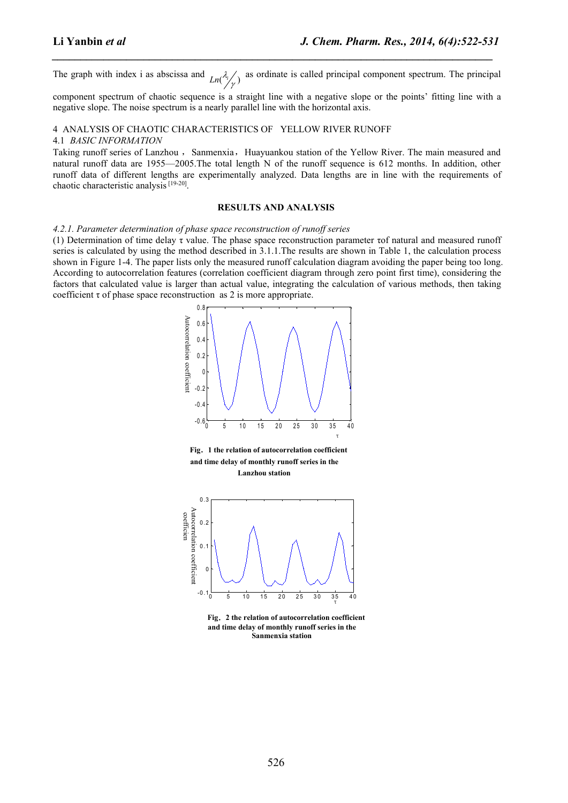as ordinate is called principal component spectrum. The principal

*\_\_\_\_\_\_\_\_\_\_\_\_\_\_\_\_\_\_\_\_\_\_\_\_\_\_\_\_\_\_\_\_\_\_\_\_\_\_\_\_\_\_\_\_\_\_\_\_\_\_\_\_\_\_\_\_\_\_\_\_\_\_\_\_\_\_\_\_\_\_\_\_\_\_\_\_\_*

**Li Yanbin et al**<br> **I. Chem. Pharm. Res., 2014, 6(4):522-531**<br>
The graph with index i as abscissa and  $_{Ln}(\frac{\lambda}{\gamma})$  as ordinate is called principal component spectrum. The principal<br>
component spectrum of chaotic sequence component spectrum of chaotic sequence is a straight line with a negative slope or the points' fitting line with a negative slope. The noise spectrum is a nearly parallel line with the horizontal axis.

#### 4 ANALYSIS OF CHAOTIC CHARACTERISTICS OF YELLOW RIVER RUNOFF

#### 4.1 *BASIC INFORMATION*

Taking runoff series of Lanzhou, Sanmenxia, Huayuankou station of the Yellow River. The main measured and natural runoff data are 1955—2005.The total length N of the runoff sequence is 612 months. In addition, other runoff data of different lengths are experimentally analyzed. Data lengths are in line with the requirements of chaotic characteristic analysis<sup>[19-20]</sup>.

#### **RESULTS AND ANALYSIS**

*4.2.1. Parameter determination of phase space reconstruction of runoff series*

(1) Determination of time delay τ value. The phase space reconstruction parameter τof natural and measured runoff series is calculated by using the method described in  $3.1.1$ . The results are shown in Table 1, the calculation process shown in Figure 1-4. The paper lists only the measured runoff calculation diagram avoiding the paper being too long. According to autocorrelation features (correlation coefficient diagram through zero point first time), considering the factors that calculated value islarger than actual value, integrating the calculation of various methods, then taking coefficient  $\tau$  of phase space reconstruction as 2 is more appropriate.



**Fig**.**1 the relation of autocorrelation coefficient and timedelay of monthly runoff series in the Lanzhou station**



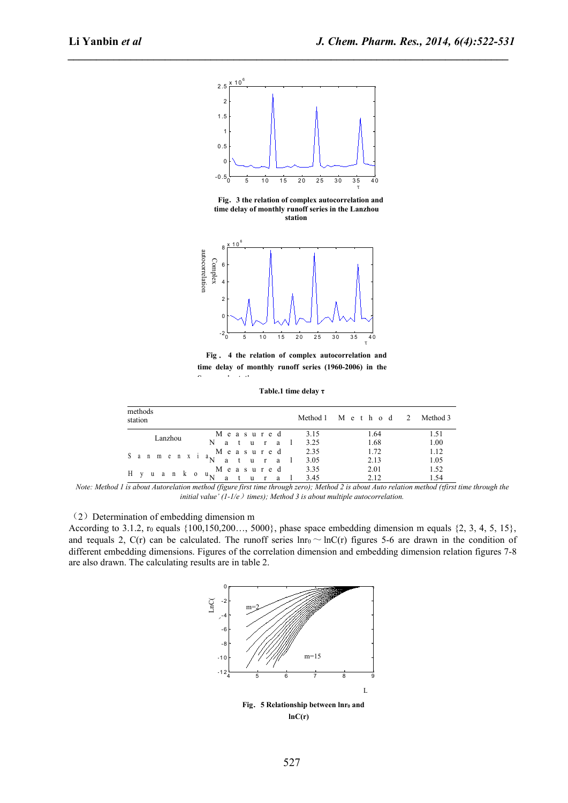

*\_\_\_\_\_\_\_\_\_\_\_\_\_\_\_\_\_\_\_\_\_\_\_\_\_\_\_\_\_\_\_\_\_\_\_\_\_\_\_\_\_\_\_\_\_\_\_\_\_\_\_\_\_\_\_\_\_\_\_\_\_\_\_\_\_\_\_\_\_\_\_\_\_\_\_\_\_*

**Fig**.**3 the relation of complex autocorrelation and time delay of monthly runoff series in the Lanzhou f** complex autocorrelation and<br>runoff series in the Lanzhou<br>station



**Fig** . **4 the relation of complex autocorrelation and time delay of monthly runoffseries (1960-2006) in the Sanmenxia station**

**Table.1 time delay τ**

|                           | $-20$<br>5<br>10<br>15                                                                   | 20<br>25                  | 30<br>35<br>40<br>τ |          |  |  |  |
|---------------------------|------------------------------------------------------------------------------------------|---------------------------|---------------------|----------|--|--|--|
|                           | Fig. 4 the relation of complex autocorrelation and                                       |                           |                     |          |  |  |  |
|                           | time delay of monthly runoff series (1960-2006) in the<br>$\sim$<br>$\sim$ $\sim$ $\sim$ |                           |                     |          |  |  |  |
|                           |                                                                                          | Table.1 time delay $\tau$ |                     |          |  |  |  |
|                           |                                                                                          |                           |                     |          |  |  |  |
| methods<br>station        |                                                                                          | Method 1                  | Method<br>2         | Method 3 |  |  |  |
|                           | Measured                                                                                 | 3.15                      | 1.64                | 1.51     |  |  |  |
|                           | N<br>a<br><b>u</b><br>$\mathbf{r}$<br>a                                                  | 3.25                      | 1.68                | 1.00     |  |  |  |
| Lanzhou                   |                                                                                          |                           | 1.72                | 1.12     |  |  |  |
|                           | Measured                                                                                 | 2.35                      |                     |          |  |  |  |
| S<br>$m$ e $n$ $x$<br>n   | a                                                                                        | 3.05                      | 2.13                | 1.05     |  |  |  |
| H<br>an k<br><sub>u</sub> | Measured<br>$\mathbf{O}$<br>u.                                                           | 3.35                      | 2.01                | 1.52     |  |  |  |

Note: Method 1 is about Autorelation method (figure first time through zero); Method 2 is about Auto relation method (tfirst time through the *initial value' (1-1/e*)*times); Method 3 is aboutmultiple autocorrelation.*

#### (2) Determination of embedding dimension m

According to 3.1.2, r<sub>0</sub> equals {100,150,200..., 5000}, phase space embedding dimension m equals {2, 3, 4, 5, 15}, and requals 2, C(r) can be calculated. The runoff series  $ln r_0 \sim ln C(r)$  figures 5-6 are drawn in the condition of different embedding dimensions. Figures of the correlation dimension and embedding dimension relation figures 7-8 are also drawn. The calculating results are in table 2.

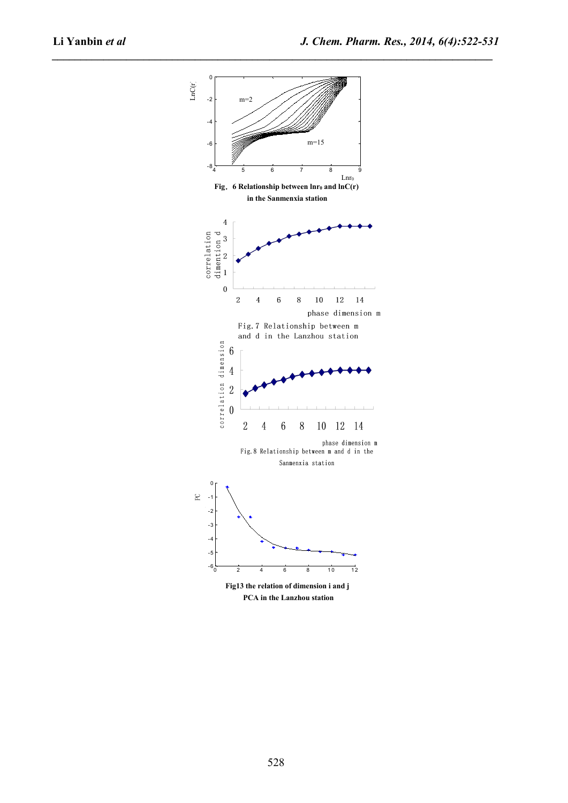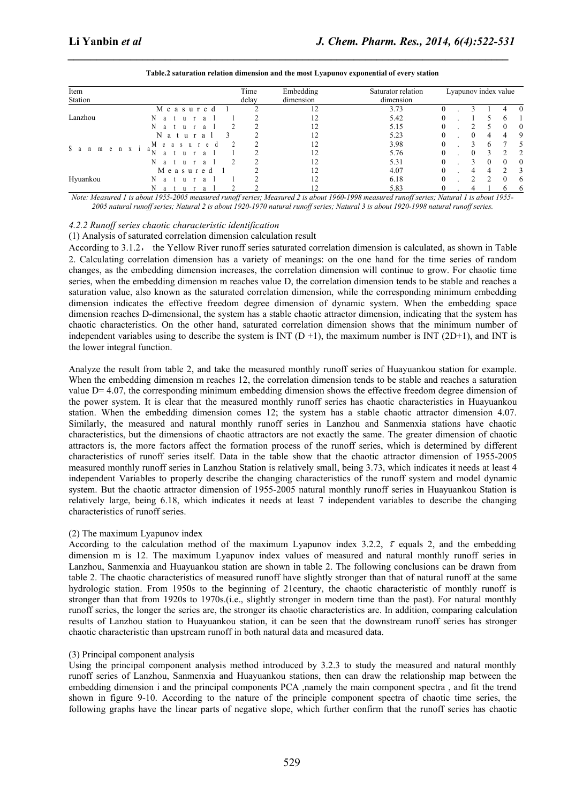| Li Yanbin et al                                                                          |          |                |           | J. Chem. Pharm. Res., 2014, 6(4):522-531 |                      |  |          |                |                |                  |
|------------------------------------------------------------------------------------------|----------|----------------|-----------|------------------------------------------|----------------------|--|----------|----------------|----------------|------------------|
| Table.2 saturation relation dimension and the most Lyapunov exponential of every station |          |                |           |                                          |                      |  |          |                |                |                  |
| Item                                                                                     |          | Time           | Embedding | Saturator relation                       | Lyapunov index value |  |          |                |                |                  |
| Station                                                                                  |          | delay          | dimension | dimension                                |                      |  |          |                |                |                  |
| Measure<br>Lanzhou                                                                       |          |                | 12        | 3.73                                     |                      |  |          |                |                |                  |
|                                                                                          |          |                | 12        | 5.42                                     |                      |  |          |                | 6              |                  |
|                                                                                          |          | $\overline{c}$ | 12        | 5.15                                     |                      |  |          | 5              | $\bf{0}$       | $\boldsymbol{0}$ |
| N<br>u r<br>a<br><sup>2</sup>                                                            |          |                | 12        | 5.23                                     |                      |  | $\theta$ | $\overline{4}$ | 4              | 9                |
|                                                                                          |          |                |           | 3.98                                     |                      |  |          | 6              |                | 5                |
|                                                                                          |          |                |           |                                          |                      |  |          |                |                | $\overline{2}$   |
| $S$ anmenxi                                                                              |          | $\frac{2}{2}$  |           | 5.76                                     |                      |  |          | 3              | $\overline{2}$ |                  |
|                                                                                          |          | $\overline{2}$ | 12        | 5.31                                     |                      |  |          | $\mathbf{0}$   | $\mathbf{0}$   | $\mathbf{0}$     |
|                                                                                          | Measured |                | 12        | 4.07                                     |                      |  |          |                | $\overline{2}$ | 3                |
| Hyuankou                                                                                 |          |                | 12        | 6.18                                     |                      |  |          |                | $\theta$       | 6                |

#### **Table.2 saturation relation dimension and the most Lyapunov exponential of every station**

#### *4.2.2 Runoff series chaotic characteristic identification*

(1) Analysis of saturated correlation dimension calculation result

According to 3.1.2, the Yellow River runoff series saturated correlation dimension is calculated, as shown in Table 2. Calculating correlation dimension has a variety of meanings: on the one hand for the time series of random changes, as the embedding dimension increases, the correlation dimension will continue to grow. For chaotic time series, when the embedding dimension m reaches value D, the correlation dimension tends to be stable and reaches a saturation value, also known as the saturated correlation dimension, while the corresponding minimum embedding dimension indicates the effective freedom degree dimension of dynamic system. When the embedding space dimension reaches D-dimensional, the system has a stable chaotic attractor dimension, indicating that the system has chaotic characteristics. On the other hand, saturated correlation dimension shows that the minimum number of independent variables using to describe the system is INT  $(D+1)$ , the maximum number is INT (2D+1), and INT is the lower integral function.

Analyze the result from table 2, and take the measured monthly runoff series of Huayuankou station for example. When the embedding dimension m reaches 12, the correlation dimension tends to be stable and reaches a saturation value D= 4.07, the corresponding minimum embedding dimension shows the effective freedom degree dimension of the power system. It is clear that the measured monthly runoff series has chaotic characteristics in Huayuankou station. When the embedding dimension comes 12; the system has a stable chaotic attractor dimension 4.07. Similarly, the measured and natural monthly runoff series in Lanzhou and Sanmenxia stations have chaotic characteristics, but the dimensions of chaotic attractors are not exactly the same. The greater dimension of chaotic attractors is, the more factors affect the formation process of the runoff series, which is determined by different characteristics of runoff series itself. Data in the table show that the chaotic attractor dimension of 1955-2005 measured monthly runoff series in Lanzhou Station is relatively small, being 3.73, which indicates it needs at least 4 independent Variables to properly describe the changing characteristics of the runoff system and model dynamic system. But the chaotic attractor dimension of 1955-2005 natural monthly runoff series in Huayuankou Station is relatively large, being 6.18, which indicates it needs at least 7 independent variables to describe the changing characteristics of runoff series.

#### (2) The maximum Lyapunov index

According to the calculation method of the maximum Lyapunov index 3.2.2,  $\tau$  equals 2, and the embedding dimension m is 12. The maximum Lyapunov index values of measured and natural monthly runoff series in Lanzhou, Sanmenxia and Huayuankou station are shown in table 2. The following conclusions can be drawn from table 2. The chaotic characteristics of measured runoff have slightly stronger than that of natural runoff atthe same hydrologic station. From 1950s to the beginning of 21century, the chaotic characteristic of monthly runoff is stronger than that from 1920s to 1970s.(i.e., slightly stronger in modern time than the past). For natural monthly runoff series, the longer the series are, the stronger its chaotic characteristics are. In addition, comparing calculation results of Lanzhou station to Huayuankou station, it can be seen that the downstream runoff series has stronger chaotic characteristic than upstream runoff in both natural data and measured data.

#### (3) Principal component analysis

Using the principal component analysis method introduced by 3.2.3 to study the measured and natural monthly runoff series of Lanzhou, Sanmenxia and Huayuankou stations, then can draw the relationship map between the embedding dimension i and the principal components PCA ,namely the main component spectra , and fit the trend shown in figure 9-10. According to the nature of the principle component spectra of chaotic time series, the following graphs have the linear parts of negative slope, which further confirm that the runoff series has chaotic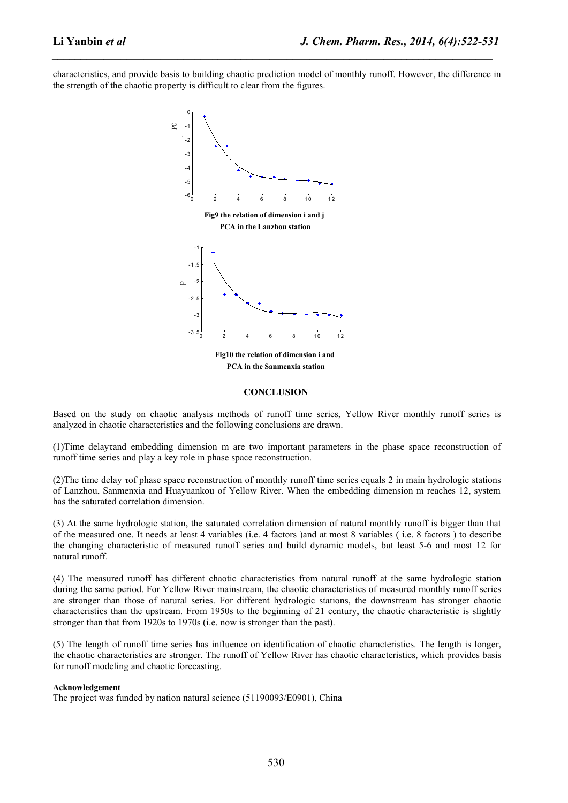characteristics, and provide basis to building chaotic prediction model of monthly runoff. However, the difference in the strength of the chaotic property is difficult to clear from the figures.

*\_\_\_\_\_\_\_\_\_\_\_\_\_\_\_\_\_\_\_\_\_\_\_\_\_\_\_\_\_\_\_\_\_\_\_\_\_\_\_\_\_\_\_\_\_\_\_\_\_\_\_\_\_\_\_\_\_\_\_\_\_\_\_\_\_\_\_\_\_\_\_\_\_\_\_\_\_*



**Fig10 the relation of dimension i and PCA in the Sanmenxia station**

#### **CONCLUSION**

Based on the study on chaotic analysis methods of runoff time series, Yellow River monthly runoff series is analyzed in chaotic characteristics and the following conclusions are drawn.

(1)Time delayτand embedding dimension m are two important parameters in the phase space reconstruction of runoff time series and play a key role in phase space reconstruction.

(2)The time delay τof phase space reconstruction of monthly runoff time series equals 2 in main hydrologic stations of Lanzhou, Sanmenxia and Huayuankou of Yellow River. When the embedding dimension m reaches 12, system has the saturated correlation dimension.

(3) At the same hydrologic station, the saturated correlation dimension of naturalmonthly runoff is bigger than that of the measured one. It needs at least 4 variables (i.e. 4 factors )and at most 8 variables ( i.e.8 factors ) to describe the changing characteristic of measured runoff series and build dynamic models, but least 5-6 and most 12 for natural runoff.

(4) The measured runoff has different chaotic characteristics from natural runoff at the same hydrologic station during the same period. For Yellow River mainstream, the chaotic characteristics of measured monthly runoff series are stronger than those of natural series. For different hydrologic stations, the downstream has stronger chaotic characteristics than the upstream. From 1950s to the beginning of 21 century, the chaotic characteristic isslightly stronger than that from 1920s to 1970s (i.e. now is stronger than the past).

(5) The length of runoff time series has influence on identification of chaotic characteristics. The length is longer, the chaotic characteristics are stronger. The runoff of Yellow River has chaotic characteristics, which provides basis for runoff modeling and chaotic forecasting.

#### **Acknowledgement**

The project was funded by nation natural science (51190093/E0901), China